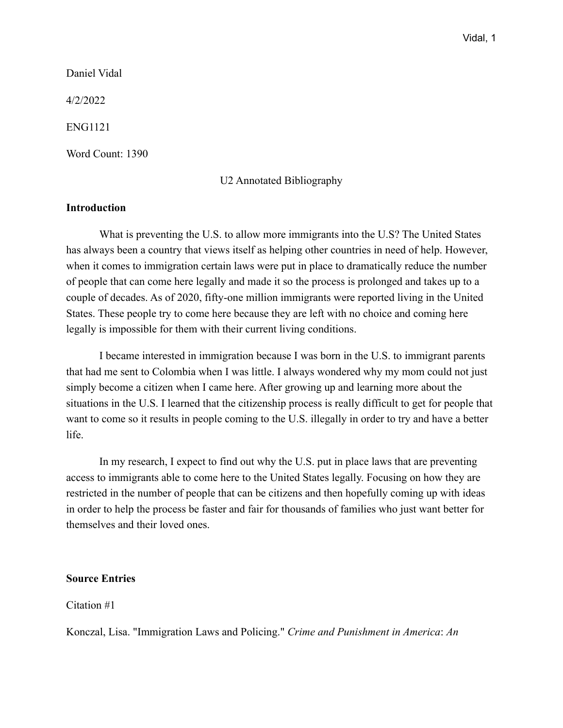Daniel Vidal

4/2/2022

ENG1121

Word Count: 1390

# U2 Annotated Bibliography

# **Introduction**

What is preventing the U.S. to allow more immigrants into the U.S? The United States has always been a country that views itself as helping other countries in need of help. However, when it comes to immigration certain laws were put in place to dramatically reduce the number of people that can come here legally and made it so the process is prolonged and takes up to a couple of decades. As of 2020, fifty-one million immigrants were reported living in the United States. These people try to come here because they are left with no choice and coming here legally is impossible for them with their current living conditions.

I became interested in immigration because I was born in the U.S. to immigrant parents that had me sent to Colombia when I was little. I always wondered why my mom could not just simply become a citizen when I came here. After growing up and learning more about the situations in the U.S. I learned that the citizenship process is really difficult to get for people that want to come so it results in people coming to the U.S. illegally in order to try and have a better life.

In my research, I expect to find out why the U.S. put in place laws that are preventing access to immigrants able to come here to the United States legally. Focusing on how they are restricted in the number of people that can be citizens and then hopefully coming up with ideas in order to help the process be faster and fair for thousands of families who just want better for themselves and their loved ones.

## **Source Entries**

Citation #1

Konczal, Lisa. "Immigration Laws and Policing." *Crime and Punishment in America*: *An*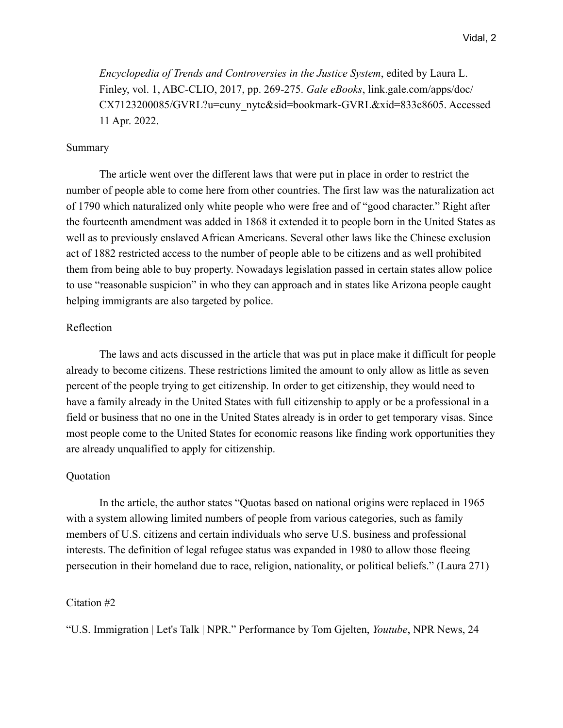*Encyclopedia of Trends and Controversies in the Justice System*, edited by Laura L. Finley, vol. 1, ABC-CLIO, 2017, pp. 269-275. *Gale eBooks*, link.gale.com/apps/doc/ CX7123200085/GVRL?u=cuny\_nytc&sid=bookmark-GVRL&xid=833c8605. Accessed 11 Apr. 2022.

# Summary

 The article went over the different laws that were put in place in order to restrict the number of people able to come here from other countries. The first law was the naturalization act of 1790 which naturalized only white people who were free and of "good character." Right after the fourteenth amendment was added in 1868 it extended it to people born in the United States as well as to previously enslaved African Americans. Several other laws like the Chinese exclusion act of 1882 restricted access to the number of people able to be citizens and as well prohibited them from being able to buy property. Nowadays legislation passed in certain states allow police to use "reasonable suspicion" in who they can approach and in states like Arizona people caught helping immigrants are also targeted by police.

## Reflection

 The laws and acts discussed in the article that was put in place make it difficult for people already to become citizens. These restrictions limited the amount to only allow as little as seven percent of the people trying to get citizenship. In order to get citizenship, they would need to have a family already in the United States with full citizenship to apply or be a professional in a field or business that no one in the United States already is in order to get temporary visas. Since most people come to the United States for economic reasons like finding work opportunities they are already unqualified to apply for citizenship.

#### Quotation

In the article, the author states "Quotas based on national origins were replaced in 1965 with a system allowing limited numbers of people from various categories, such as family members of U.S. citizens and certain individuals who serve U.S. business and professional interests. The definition of legal refugee status was expanded in 1980 to allow those fleeing persecution in their homeland due to race, religion, nationality, or political beliefs." (Laura 271)

# Citation #2

"U.S. Immigration | Let's Talk | NPR." Performance by Tom Gjelten, *Youtube*, NPR News, 24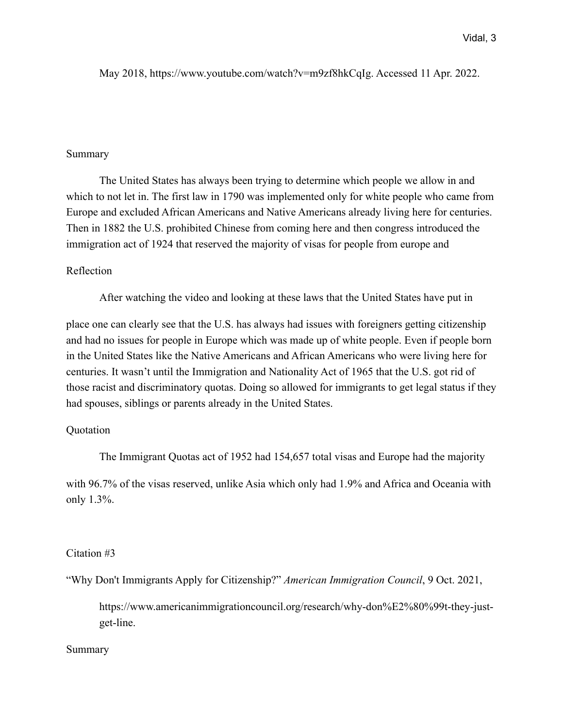# May 2018, https://www.youtube.com/watch?v=m9zf8hkCqIg. Accessed 11 Apr. 2022.

# Summary

 The United States has always been trying to determine which people we allow in and which to not let in. The first law in 1790 was implemented only for white people who came from Europe and excluded African Americans and Native Americans already living here for centuries. Then in 1882 the U.S. prohibited Chinese from coming here and then congress introduced the immigration act of 1924 that reserved the majority of visas for people from europe and

# Reflection

After watching the video and looking at these laws that the United States have put in

place one can clearly see that the U.S. has always had issues with foreigners getting citizenship and had no issues for people in Europe which was made up of white people. Even if people born in the United States like the Native Americans and African Americans who were living here for centuries. It wasn't until the Immigration and Nationality Act of 1965 that the U.S. got rid of those racist and discriminatory quotas. Doing so allowed for immigrants to get legal status if they had spouses, siblings or parents already in the United States.

## **Quotation**

The Immigrant Quotas act of 1952 had 154,657 total visas and Europe had the majority

with 96.7% of the visas reserved, unlike Asia which only had 1.9% and Africa and Oceania with only 1.3%.

### Citation #3

"Why Don't Immigrants Apply for Citizenship?" *American Immigration Council*, 9 Oct. 2021,

https://www.americanimmigrationcouncil.org/research/why-don%E2%80%99t-they-justget-line.

# Summary